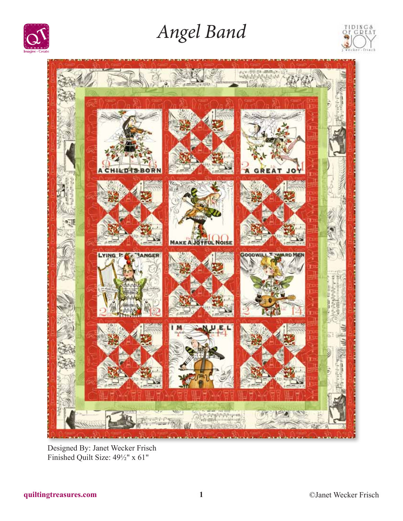

# *Angel Band*





Designed By: Janet Wecker Frisch Finished Quilt Size: 49½" x 61"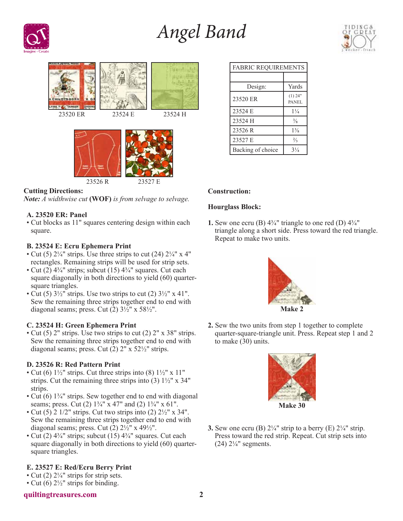# *Angel Band*







### **Cutting Directions:**

*Note: A widthwise cut* **(WOF)** *is from selvage to selvage.*

## **A. 23520 ER: Panel**

• Cut blocks as 11" squares centering design within each square.

### **B. 23524 E: Ecru Ephemera Print**

- Cut (5)  $2\frac{1}{4}$ " strips. Use three strips to cut (24)  $2\frac{1}{4}$ " x 4" rectangles. Remaining strips will be used for strip sets.
- Cut (2)  $4\frac{3}{4}$ " strips; subcut (15)  $4\frac{3}{4}$ " squares. Cut each square diagonally in both directions to yield (60) quartersquare triangles.
- Cut (5)  $3\frac{1}{2}$ " strips. Use two strips to cut (2)  $3\frac{1}{2}$ " x 41". Sew the remaining three strips together end to end with diagonal seams; press. Cut  $(2)$  3½" x 58½".

#### **C. 23524 H: Green Ephemera Print**

• Cut (5) 2" strips. Use two strips to cut (2) 2" x 38" strips. Sew the remaining three strips together end to end with diagonal seams; press. Cut (2) 2" x 52½" strips.

#### **D. 23526 R: Red Pattern Print**

- Cut (6)  $1\frac{1}{2}$ " strips. Cut three strips into (8)  $1\frac{1}{2}$ " x  $11$ " strips. Cut the remaining three strips into (3)  $1\frac{1}{2}$ " x 34" strips.
- Cut (6) 1<sup>3</sup>/<sub>4</sub>" strips. Sew together end to end with diagonal seams; press. Cut (2)  $1\frac{3}{4}$ " x 47" and (2)  $1\frac{3}{4}$ " x 61".
- Cut  $(5)$  2 1/2" strips. Cut two strips into  $(2)$  2 $\frac{1}{2}$ " x 34". Sew the remaining three strips together end to end with diagonal seams; press. Cut  $(2)$   $2\frac{1}{2}$ " x  $49\frac{1}{2}$ ".
- Cut (2)  $4\frac{3}{4}$ " strips; subcut (15)  $4\frac{3}{4}$ " squares. Cut each square diagonally in both directions to yield (60) quartersquare triangles.

## **E. 23527 E: Red/Ecru Berry Print**

- Cut (2)  $2\frac{1}{4}$ " strips for strip sets.
- Cut (6)  $2\frac{1}{2}$ " strips for binding.

#### **quiltingtreasures.com 2**

| <b>FABRIC REQUIREMENTS</b> |                           |
|----------------------------|---------------------------|
|                            |                           |
| Design:                    | Yards                     |
| 23520 ER                   | $(1)$ 24"<br><b>PANEL</b> |
| 23524 E                    | $1\frac{1}{4}$            |
| 23524 H                    | $\frac{3}{8}$             |
| 23526 R                    | $1\frac{3}{8}$            |
| 23527 E                    | $\frac{2}{3}$             |
| Backing of choice          | $3\frac{1}{4}$            |

### **Construction:**

#### **Hourglass Block:**

**1.** Sew one ecru (B)  $4\frac{3}{4}$ " triangle to one red (D)  $4\frac{3}{4}$ " triangle along a short side. Press toward the red triangle. Repeat to make two units.



**2.** Sew the two units from step 1 together to complete quarter-square-triangle unit. Press. Repeat step 1 and 2 to make (30) units.



**3.** Sew one ecru (B)  $2\frac{1}{4}$ " strip to a berry (E)  $2\frac{1}{4}$ " strip. Press toward the red strip. Repeat. Cut strip sets into (24)  $2\frac{1}{4}$ " segments.